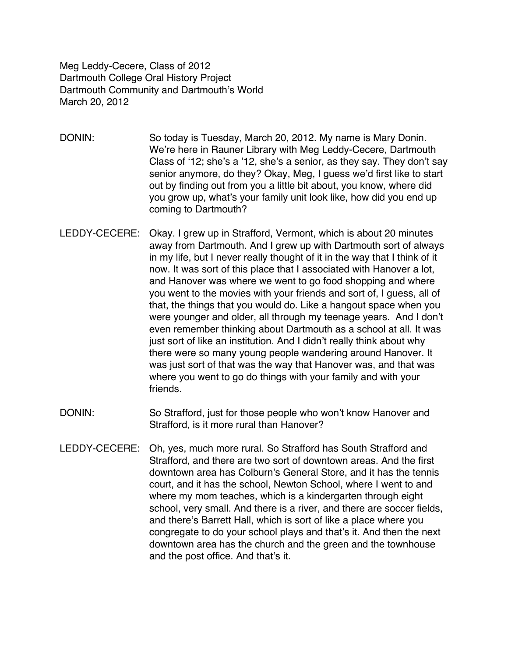Meg Leddy-Cecere, Class of 2012 Dartmouth College Oral History Project Dartmouth Community and Dartmouth's World March 20, 2012

- DONIN: So today is Tuesday, March 20, 2012. My name is Mary Donin. We're here in Rauner Library with Meg Leddy-Cecere, Dartmouth Class of ʻ12; she's a '12, she's a senior, as they say. They don't say senior anymore, do they? Okay, Meg, I guess we'd first like to start out by finding out from you a little bit about, you know, where did you grow up, what's your family unit look like, how did you end up coming to Dartmouth?
- LEDDY-CECERE: Okay. I grew up in Strafford, Vermont, which is about 20 minutes away from Dartmouth. And I grew up with Dartmouth sort of always in my life, but I never really thought of it in the way that I think of it now. It was sort of this place that I associated with Hanover a lot, and Hanover was where we went to go food shopping and where you went to the movies with your friends and sort of, I guess, all of that, the things that you would do. Like a hangout space when you were younger and older, all through my teenage years. And I don't even remember thinking about Dartmouth as a school at all. It was just sort of like an institution. And I didn't really think about why there were so many young people wandering around Hanover. It was just sort of that was the way that Hanover was, and that was where you went to go do things with your family and with your friends.
- DONIN: So Strafford, just for those people who won't know Hanover and Strafford, is it more rural than Hanover?
- LEDDY-CECERE: Oh, yes, much more rural. So Strafford has South Strafford and Strafford, and there are two sort of downtown areas. And the first downtown area has Colburn's General Store, and it has the tennis court, and it has the school, Newton School, where I went to and where my mom teaches, which is a kindergarten through eight school, very small. And there is a river, and there are soccer fields, and there's Barrett Hall, which is sort of like a place where you congregate to do your school plays and that's it. And then the next downtown area has the church and the green and the townhouse and the post office. And that's it.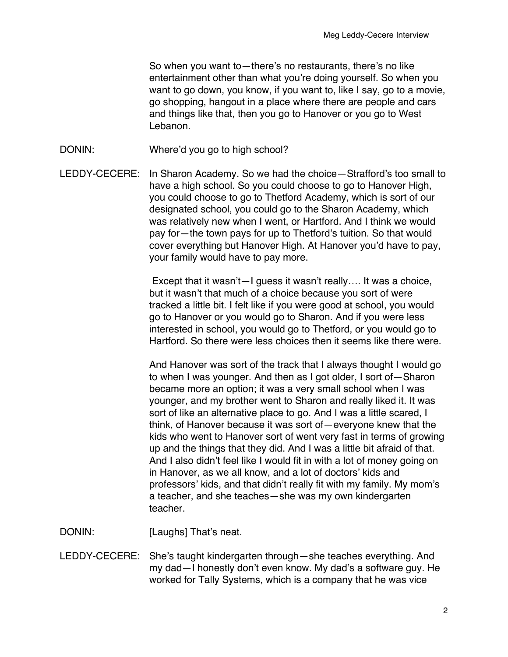So when you want to—there's no restaurants, there's no like entertainment other than what you're doing yourself. So when you want to go down, you know, if you want to, like I say, go to a movie, go shopping, hangout in a place where there are people and cars and things like that, then you go to Hanover or you go to West Lebanon.

- DONIN: Where'd you go to high school?
- LEDDY-CECERE: In Sharon Academy. So we had the choice—Strafford's too small to have a high school. So you could choose to go to Hanover High, you could choose to go to Thetford Academy, which is sort of our designated school, you could go to the Sharon Academy, which was relatively new when I went, or Hartford. And I think we would pay for—the town pays for up to Thetford's tuition. So that would cover everything but Hanover High. At Hanover you'd have to pay, your family would have to pay more.

Except that it wasn't—I guess it wasn't really…. It was a choice, but it wasn't that much of a choice because you sort of were tracked a little bit. I felt like if you were good at school, you would go to Hanover or you would go to Sharon. And if you were less interested in school, you would go to Thetford, or you would go to Hartford. So there were less choices then it seems like there were.

And Hanover was sort of the track that I always thought I would go to when I was younger. And then as I got older, I sort of—Sharon became more an option; it was a very small school when I was younger, and my brother went to Sharon and really liked it. It was sort of like an alternative place to go. And I was a little scared, I think, of Hanover because it was sort of—everyone knew that the kids who went to Hanover sort of went very fast in terms of growing up and the things that they did. And I was a little bit afraid of that. And I also didn't feel like I would fit in with a lot of money going on in Hanover, as we all know, and a lot of doctors' kids and professors' kids, and that didn't really fit with my family. My mom's a teacher, and she teaches—she was my own kindergarten teacher.

DONIN: [Laughs] That's neat.

LEDDY-CECERE: She's taught kindergarten through—she teaches everything. And my dad—I honestly don't even know. My dad's a software guy. He worked for Tally Systems, which is a company that he was vice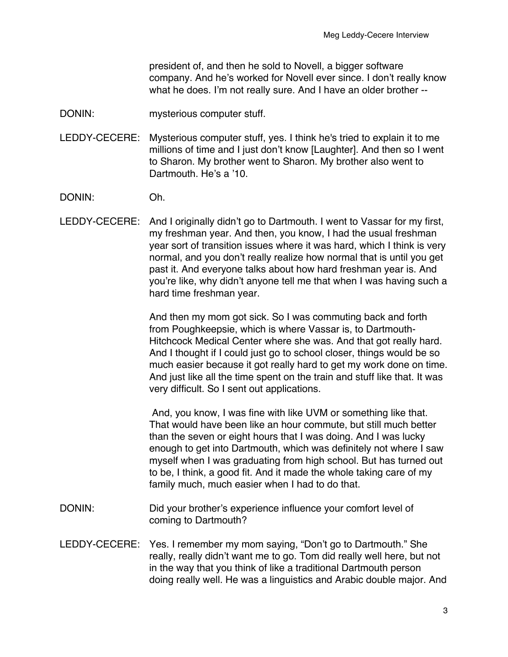president of, and then he sold to Novell, a bigger software company. And he's worked for Novell ever since. I don't really know what he does. I'm not really sure. And I have an older brother --

DONIN: mysterious computer stuff.

LEDDY-CECERE: Mysterious computer stuff, yes. I think he's tried to explain it to me millions of time and I just don't know [Laughter]. And then so I went to Sharon. My brother went to Sharon. My brother also went to Dartmouth. He's a '10.

DONIN: Oh.

LEDDY-CECERE: And I originally didn't go to Dartmouth. I went to Vassar for my first, my freshman year. And then, you know, I had the usual freshman year sort of transition issues where it was hard, which I think is very normal, and you don't really realize how normal that is until you get past it. And everyone talks about how hard freshman year is. And you're like, why didn't anyone tell me that when I was having such a hard time freshman year.

> And then my mom got sick. So I was commuting back and forth from Poughkeepsie, which is where Vassar is, to Dartmouth-Hitchcock Medical Center where she was. And that got really hard. And I thought if I could just go to school closer, things would be so much easier because it got really hard to get my work done on time. And just like all the time spent on the train and stuff like that. It was very difficult. So I sent out applications.

> And, you know, I was fine with like UVM or something like that. That would have been like an hour commute, but still much better than the seven or eight hours that I was doing. And I was lucky enough to get into Dartmouth, which was definitely not where I saw myself when I was graduating from high school. But has turned out to be, I think, a good fit. And it made the whole taking care of my family much, much easier when I had to do that.

- DONIN: Did your brother's experience influence your comfort level of coming to Dartmouth?
- LEDDY-CECERE: Yes. I remember my mom saying, "Don't go to Dartmouth." She really, really didn't want me to go. Tom did really well here, but not in the way that you think of like a traditional Dartmouth person doing really well. He was a linguistics and Arabic double major. And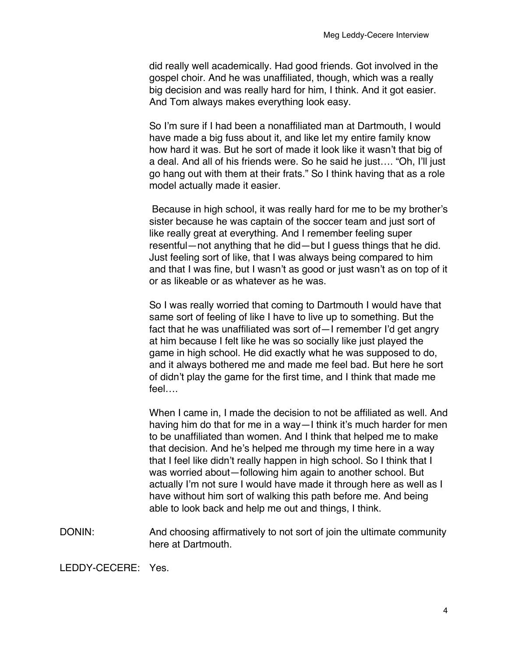did really well academically. Had good friends. Got involved in the gospel choir. And he was unaffiliated, though, which was a really big decision and was really hard for him, I think. And it got easier. And Tom always makes everything look easy.

So I'm sure if I had been a nonaffiliated man at Dartmouth, I would have made a big fuss about it, and like let my entire family know how hard it was. But he sort of made it look like it wasn't that big of a deal. And all of his friends were. So he said he just…. "Oh, I'll just go hang out with them at their frats." So I think having that as a role model actually made it easier.

Because in high school, it was really hard for me to be my brother's sister because he was captain of the soccer team and just sort of like really great at everything. And I remember feeling super resentful—not anything that he did—but I guess things that he did. Just feeling sort of like, that I was always being compared to him and that I was fine, but I wasn't as good or just wasn't as on top of it or as likeable or as whatever as he was.

So I was really worried that coming to Dartmouth I would have that same sort of feeling of like I have to live up to something. But the fact that he was unaffiliated was sort of—I remember I'd get angry at him because I felt like he was so socially like just played the game in high school. He did exactly what he was supposed to do, and it always bothered me and made me feel bad. But here he sort of didn't play the game for the first time, and I think that made me feel….

When I came in, I made the decision to not be affiliated as well. And having him do that for me in a way—I think it's much harder for men to be unaffiliated than women. And I think that helped me to make that decision. And he's helped me through my time here in a way that I feel like didn't really happen in high school. So I think that I was worried about—following him again to another school. But actually I'm not sure I would have made it through here as well as I have without him sort of walking this path before me. And being able to look back and help me out and things, I think.

DONIN: And choosing affirmatively to not sort of join the ultimate community here at Dartmouth.

LEDDY-CECERE: Yes.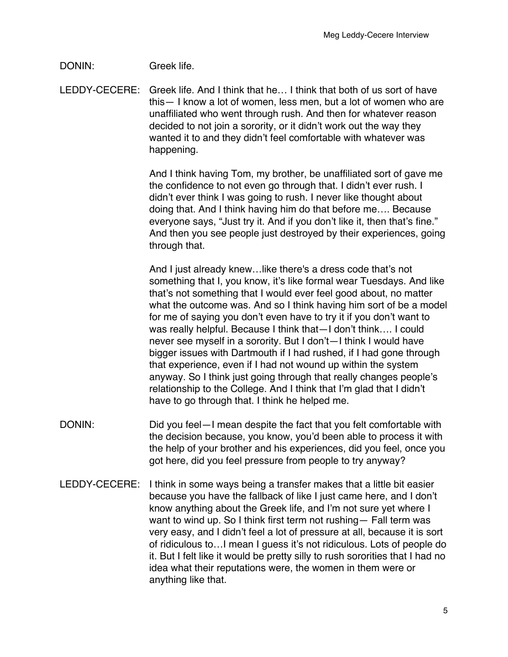## DONIN: Greek life.

LEDDY-CECERE: Greek life. And I think that he… I think that both of us sort of have this— I know a lot of women, less men, but a lot of women who are unaffiliated who went through rush. And then for whatever reason decided to not join a sorority, or it didn't work out the way they wanted it to and they didn't feel comfortable with whatever was happening.

> And I think having Tom, my brother, be unaffiliated sort of gave me the confidence to not even go through that. I didn't ever rush. I didn't ever think I was going to rush. I never like thought about doing that. And I think having him do that before me…. Because everyone says, "Just try it. And if you don't like it, then that's fine." And then you see people just destroyed by their experiences, going through that.

> And I just already knew…like there's a dress code that's not something that I, you know, it's like formal wear Tuesdays. And like that's not something that I would ever feel good about, no matter what the outcome was. And so I think having him sort of be a model for me of saying you don't even have to try it if you don't want to was really helpful. Because I think that—I don't think…. I could never see myself in a sorority. But I don't—I think I would have bigger issues with Dartmouth if I had rushed, if I had gone through that experience, even if I had not wound up within the system anyway. So I think just going through that really changes people's relationship to the College. And I think that I'm glad that I didn't have to go through that. I think he helped me.

- DONIN: DONIN: Did you feel—I mean despite the fact that you felt comfortable with the decision because, you know, you'd been able to process it with the help of your brother and his experiences, did you feel, once you got here, did you feel pressure from people to try anyway?
- LEDDY-CECERE: I think in some ways being a transfer makes that a little bit easier because you have the fallback of like I just came here, and I don't know anything about the Greek life, and I'm not sure yet where I want to wind up. So I think first term not rushing— Fall term was very easy, and I didn't feel a lot of pressure at all, because it is sort of ridiculous to…I mean I guess it's not ridiculous. Lots of people do it. But I felt like it would be pretty silly to rush sororities that I had no idea what their reputations were, the women in them were or anything like that.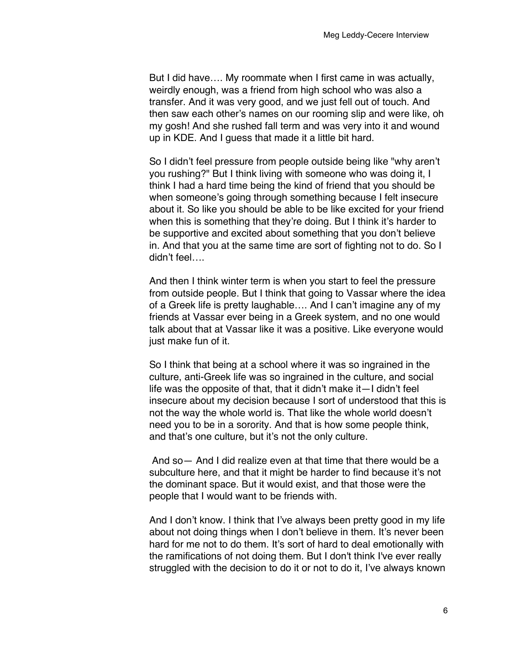But I did have…. My roommate when I first came in was actually, weirdly enough, was a friend from high school who was also a transfer. And it was very good, and we just fell out of touch. And then saw each other's names on our rooming slip and were like, oh my gosh! And she rushed fall term and was very into it and wound up in KDE. And I guess that made it a little bit hard.

So I didn't feel pressure from people outside being like "why aren't you rushing?" But I think living with someone who was doing it, I think I had a hard time being the kind of friend that you should be when someone's going through something because I felt insecure about it. So like you should be able to be like excited for your friend when this is something that they're doing. But I think it's harder to be supportive and excited about something that you don't believe in. And that you at the same time are sort of fighting not to do. So I didn't feel….

And then I think winter term is when you start to feel the pressure from outside people. But I think that going to Vassar where the idea of a Greek life is pretty laughable…. And I can't imagine any of my friends at Vassar ever being in a Greek system, and no one would talk about that at Vassar like it was a positive. Like everyone would just make fun of it.

So I think that being at a school where it was so ingrained in the culture, anti-Greek life was so ingrained in the culture, and social life was the opposite of that, that it didn't make it—I didn't feel insecure about my decision because I sort of understood that this is not the way the whole world is. That like the whole world doesn't need you to be in a sorority. And that is how some people think, and that's one culture, but it's not the only culture.

And so— And I did realize even at that time that there would be a subculture here, and that it might be harder to find because it's not the dominant space. But it would exist, and that those were the people that I would want to be friends with.

And I don't know. I think that I've always been pretty good in my life about not doing things when I don't believe in them. It's never been hard for me not to do them. It's sort of hard to deal emotionally with the ramifications of not doing them. But I don't think I've ever really struggled with the decision to do it or not to do it, I've always known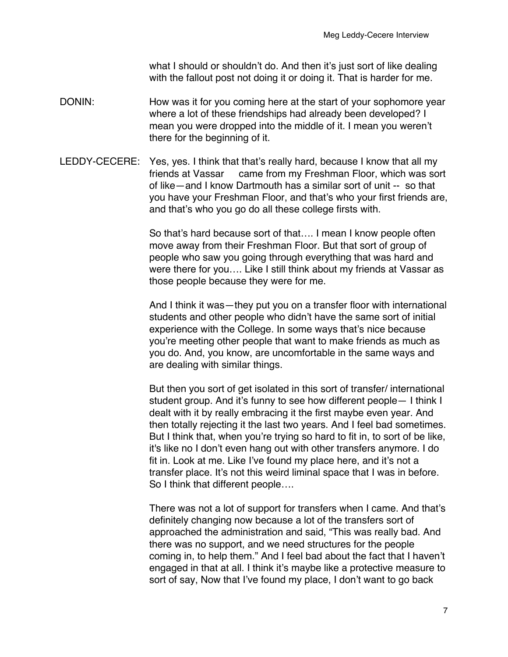what I should or shouldn't do. And then it's just sort of like dealing with the fallout post not doing it or doing it. That is harder for me.

- DONIN: How was it for you coming here at the start of your sophomore year where a lot of these friendships had already been developed? I mean you were dropped into the middle of it. I mean you weren't there for the beginning of it.
- LEDDY-CECERE: Yes, yes. I think that that's really hard, because I know that all my friends at Vassar came from my Freshman Floor, which was sort of like—and I know Dartmouth has a similar sort of unit -- so that you have your Freshman Floor, and that's who your first friends are, and that's who you go do all these college firsts with.

So that's hard because sort of that…. I mean I know people often move away from their Freshman Floor. But that sort of group of people who saw you going through everything that was hard and were there for you…. Like I still think about my friends at Vassar as those people because they were for me.

And I think it was—they put you on a transfer floor with international students and other people who didn't have the same sort of initial experience with the College. In some ways that's nice because you're meeting other people that want to make friends as much as you do. And, you know, are uncomfortable in the same ways and are dealing with similar things.

But then you sort of get isolated in this sort of transfer/ international student group. And it's funny to see how different people— I think I dealt with it by really embracing it the first maybe even year. And then totally rejecting it the last two years. And I feel bad sometimes. But I think that, when you're trying so hard to fit in, to sort of be like, it's like no I don't even hang out with other transfers anymore. I do fit in. Look at me. Like I've found my place here, and it's not a transfer place. It's not this weird liminal space that I was in before. So I think that different people….

There was not a lot of support for transfers when I came. And that's definitely changing now because a lot of the transfers sort of approached the administration and said, "This was really bad. And there was no support, and we need structures for the people coming in, to help them." And I feel bad about the fact that I haven't engaged in that at all. I think it's maybe like a protective measure to sort of say, Now that I've found my place, I don't want to go back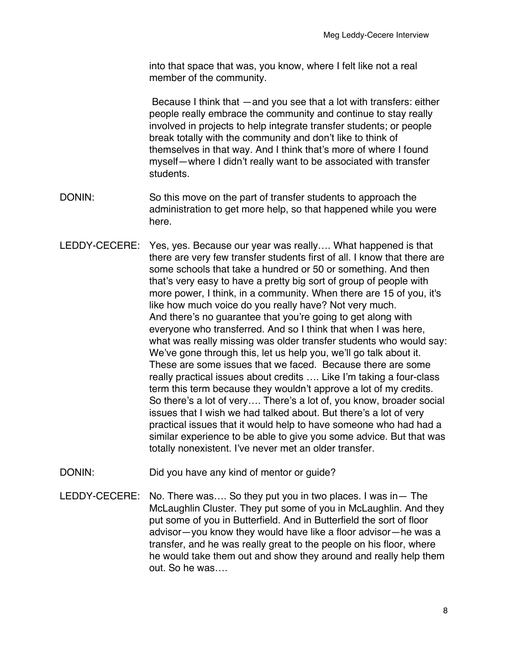into that space that was, you know, where I felt like not a real member of the community.

Because I think that —and you see that a lot with transfers: either people really embrace the community and continue to stay really involved in projects to help integrate transfer students; or people break totally with the community and don't like to think of themselves in that way. And I think that's more of where I found myself—where I didn't really want to be associated with transfer students.

- DONIN: So this move on the part of transfer students to approach the administration to get more help, so that happened while you were here.
- LEDDY-CECERE: Yes, yes. Because our year was really…. What happened is that there are very few transfer students first of all. I know that there are some schools that take a hundred or 50 or something. And then that's very easy to have a pretty big sort of group of people with more power, I think, in a community. When there are 15 of you, it's like how much voice do you really have? Not very much. And there's no guarantee that you're going to get along with everyone who transferred. And so I think that when I was here, what was really missing was older transfer students who would say: We've gone through this, let us help you, we'll go talk about it. These are some issues that we faced. Because there are some really practical issues about credits …. Like I'm taking a four-class term this term because they wouldn't approve a lot of my credits. So there's a lot of very…. There's a lot of, you know, broader social issues that I wish we had talked about. But there's a lot of very practical issues that it would help to have someone who had had a similar experience to be able to give you some advice. But that was totally nonexistent. I've never met an older transfer.
- DONIN: Did you have any kind of mentor or quide?
- LEDDY-CECERE: No. There was…. So they put you in two places. I was in— The McLaughlin Cluster. They put some of you in McLaughlin. And they put some of you in Butterfield. And in Butterfield the sort of floor advisor—you know they would have like a floor advisor—he was a transfer, and he was really great to the people on his floor, where he would take them out and show they around and really help them out. So he was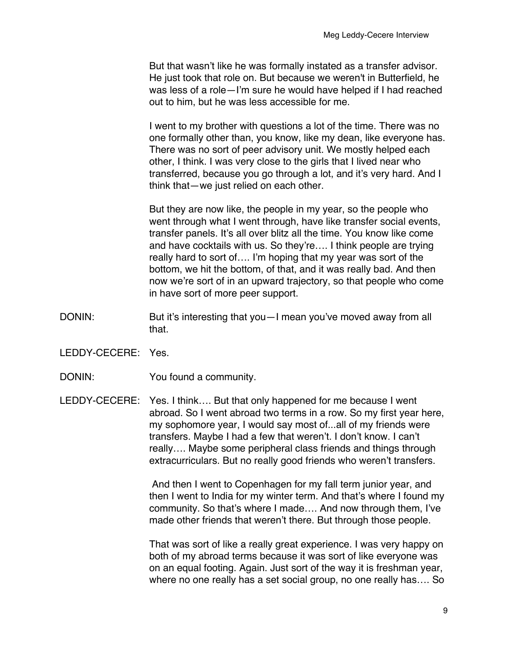But that wasn't like he was formally instated as a transfer advisor. He just took that role on. But because we weren't in Butterfield, he was less of a role—I'm sure he would have helped if I had reached out to him, but he was less accessible for me.

I went to my brother with questions a lot of the time. There was no one formally other than, you know, like my dean, like everyone has. There was no sort of peer advisory unit. We mostly helped each other, I think. I was very close to the girls that I lived near who transferred, because you go through a lot, and it's very hard. And I think that—we just relied on each other.

But they are now like, the people in my year, so the people who went through what I went through, have like transfer social events, transfer panels. It's all over blitz all the time. You know like come and have cocktails with us. So they're…. I think people are trying really hard to sort of…. I'm hoping that my year was sort of the bottom, we hit the bottom, of that, and it was really bad. And then now we're sort of in an upward trajectory, so that people who come in have sort of more peer support.

- DONIN: But it's interesting that you—I mean you've moved away from all that.
- LEDDY-CECERE: Yes.
- DONIN: You found a community.
- LEDDY-CECERE: Yes. I think…. But that only happened for me because I went abroad. So I went abroad two terms in a row. So my first year here, my sophomore year, I would say most of...all of my friends were transfers. Maybe I had a few that weren't. I don't know. I can't really…. Maybe some peripheral class friends and things through extracurriculars. But no really good friends who weren't transfers.

And then I went to Copenhagen for my fall term junior year, and then I went to India for my winter term. And that's where I found my community. So that's where I made…. And now through them, I've made other friends that weren't there. But through those people.

That was sort of like a really great experience. I was very happy on both of my abroad terms because it was sort of like everyone was on an equal footing. Again. Just sort of the way it is freshman year, where no one really has a set social group, no one really has…. So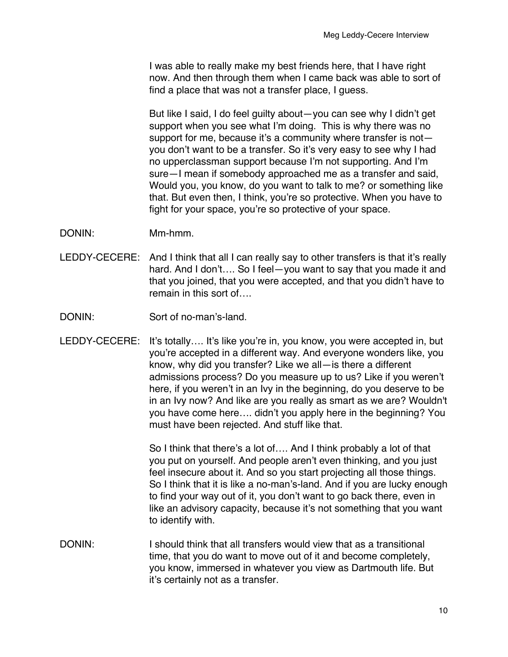I was able to really make my best friends here, that I have right now. And then through them when I came back was able to sort of find a place that was not a transfer place, I guess.

But like I said, I do feel guilty about—you can see why I didn't get support when you see what I'm doing. This is why there was no support for me, because it's a community where transfer is not you don't want to be a transfer. So it's very easy to see why I had no upperclassman support because I'm not supporting. And I'm sure—I mean if somebody approached me as a transfer and said, Would you, you know, do you want to talk to me? or something like that. But even then, I think, you're so protective. When you have to fight for your space, you're so protective of your space.

- DONIN: Mm-hmm.
- LEDDY-CECERE: And I think that all I can really say to other transfers is that it's really hard. And I don't.... So I feel-you want to say that you made it and that you joined, that you were accepted, and that you didn't have to remain in this sort of….
- DONIN: Sort of no-man's-land.
- LEDDY-CECERE: It's totally…. It's like you're in, you know, you were accepted in, but you're accepted in a different way. And everyone wonders like, you know, why did you transfer? Like we all—is there a different admissions process? Do you measure up to us? Like if you weren't here, if you weren't in an Ivy in the beginning, do you deserve to be in an Ivy now? And like are you really as smart as we are? Wouldn't you have come here…. didn't you apply here in the beginning? You must have been rejected. And stuff like that.

So I think that there's a lot of…. And I think probably a lot of that you put on yourself. And people aren't even thinking, and you just feel insecure about it. And so you start projecting all those things. So I think that it is like a no-man's-land. And if you are lucky enough to find your way out of it, you don't want to go back there, even in like an advisory capacity, because it's not something that you want to identify with.

DONIN: I should think that all transfers would view that as a transitional time, that you do want to move out of it and become completely, you know, immersed in whatever you view as Dartmouth life. But it's certainly not as a transfer.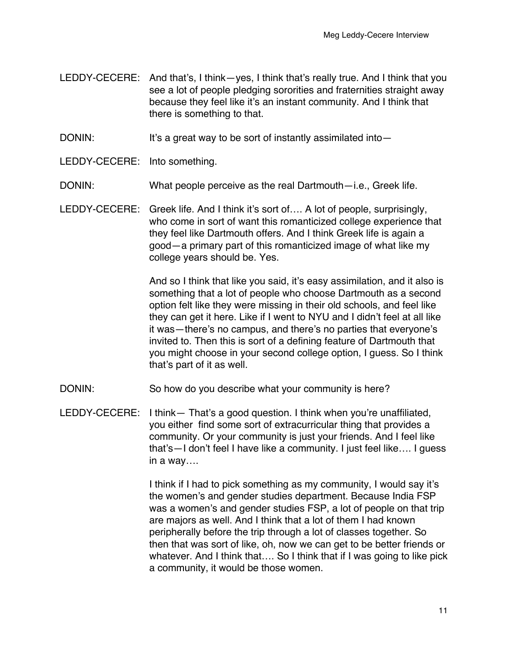- LEDDY-CECERE: And that's, I think—yes, I think that's really true. And I think that you see a lot of people pledging sororities and fraternities straight away because they feel like it's an instant community. And I think that there is something to that.
- DONIN: It's a great way to be sort of instantly assimilated into-
- LEDDY-CECERE: Into something.
- DONIN: What people perceive as the real Dartmouth-i.e., Greek life.
- LEDDY-CECERE: Greek life. And I think it's sort of…. A lot of people, surprisingly, who come in sort of want this romanticized college experience that they feel like Dartmouth offers. And I think Greek life is again a good—a primary part of this romanticized image of what like my college years should be. Yes.

And so I think that like you said, it's easy assimilation, and it also is something that a lot of people who choose Dartmouth as a second option felt like they were missing in their old schools, and feel like they can get it here. Like if I went to NYU and I didn't feel at all like it was—there's no campus, and there's no parties that everyone's invited to. Then this is sort of a defining feature of Dartmouth that you might choose in your second college option, I guess. So I think that's part of it as well.

- DONIN: So how do you describe what your community is here?
- LEDDY-CECERE: I think— That's a good question. I think when you're unaffiliated, you either find some sort of extracurricular thing that provides a community. Or your community is just your friends. And I feel like that's—I don't feel I have like a community. I just feel like…. I guess in a way….

I think if I had to pick something as my community, I would say it's the women's and gender studies department. Because India FSP was a women's and gender studies FSP, a lot of people on that trip are majors as well. And I think that a lot of them I had known peripherally before the trip through a lot of classes together. So then that was sort of like, oh, now we can get to be better friends or whatever. And I think that…. So I think that if I was going to like pick a community, it would be those women.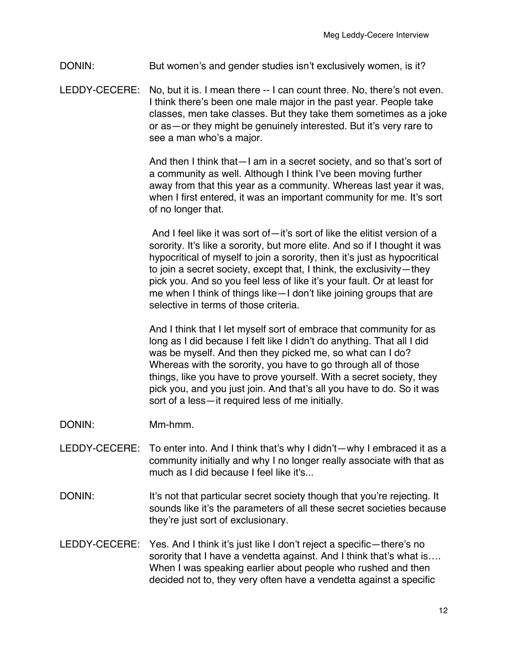DONIN: But women's and gender studies isn't exclusively women, is it?

LEDDY-CECERE: No, but it is. I mean there -- I can count three. No, there's not even. I think there's been one male major in the past year. People take classes, men take classes. But they take them sometimes as a joke or as—or they might be genuinely interested. But it's very rare to see a man who's a major.

> And then I think that—I am in a secret society, and so that's sort of a community as well. Although I think I've been moving further away from that this year as a community. Whereas last year it was, when I first entered, it was an important community for me. It's sort of no longer that.

> And I feel like it was sort of—it's sort of like the elitist version of a sorority. It's like a sorority, but more elite. And so if I thought it was hypocritical of myself to join a sorority, then it's just as hypocritical to join a secret society, except that, I think, the exclusivity—they pick you. And so you feel less of like it's your fault. Or at least for me when I think of things like—I don't like joining groups that are selective in terms of those criteria.

> And I think that I let myself sort of embrace that community for as long as I did because I felt like I didn't do anything. That all I did was be myself. And then they picked me, so what can I do? Whereas with the sorority, you have to go through all of those things, like you have to prove yourself. With a secret society, they pick you, and you just join. And that's all you have to do. So it was sort of a less—it required less of me initially.

- DONIN: Mm-hmm.
- LEDDY-CECERE: To enter into. And I think that's why I didn't—why I embraced it as a community initially and why I no longer really associate with that as much as I did because I feel like it's...
- DONIN: It's not that particular secret society though that you're rejecting. It sounds like it's the parameters of all these secret societies because they're just sort of exclusionary.
- LEDDY-CECERE: Yes. And I think it's just like I don't reject a specific—there's no sorority that I have a vendetta against. And I think that's what is.... When I was speaking earlier about people who rushed and then decided not to, they very often have a vendetta against a specific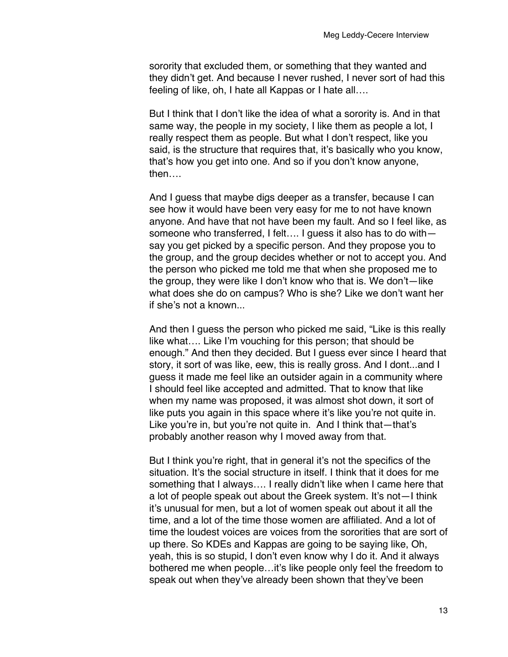sorority that excluded them, or something that they wanted and they didn't get. And because I never rushed, I never sort of had this feeling of like, oh, I hate all Kappas or I hate all….

But I think that I don't like the idea of what a sorority is. And in that same way, the people in my society, I like them as people a lot, I really respect them as people. But what I don't respect, like you said, is the structure that requires that, it's basically who you know, that's how you get into one. And so if you don't know anyone, then….

And I guess that maybe digs deeper as a transfer, because I can see how it would have been very easy for me to not have known anyone. And have that not have been my fault. And so I feel like, as someone who transferred, I felt…. I guess it also has to do with say you get picked by a specific person. And they propose you to the group, and the group decides whether or not to accept you. And the person who picked me told me that when she proposed me to the group, they were like I don't know who that is. We don't—like what does she do on campus? Who is she? Like we don't want her if she's not a known...

And then I guess the person who picked me said, "Like is this really like what…. Like I'm vouching for this person; that should be enough." And then they decided. But I guess ever since I heard that story, it sort of was like, eew, this is really gross. And I dont...and I guess it made me feel like an outsider again in a community where I should feel like accepted and admitted. That to know that like when my name was proposed, it was almost shot down, it sort of like puts you again in this space where it's like you're not quite in. Like you're in, but you're not quite in. And I think that-that's probably another reason why I moved away from that.

But I think you're right, that in general it's not the specifics of the situation. It's the social structure in itself. I think that it does for me something that I always…. I really didn't like when I came here that a lot of people speak out about the Greek system. It's not—I think it's unusual for men, but a lot of women speak out about it all the time, and a lot of the time those women are affiliated. And a lot of time the loudest voices are voices from the sororities that are sort of up there. So KDEs and Kappas are going to be saying like, Oh, yeah, this is so stupid, I don't even know why I do it. And it always bothered me when people…it's like people only feel the freedom to speak out when they've already been shown that they've been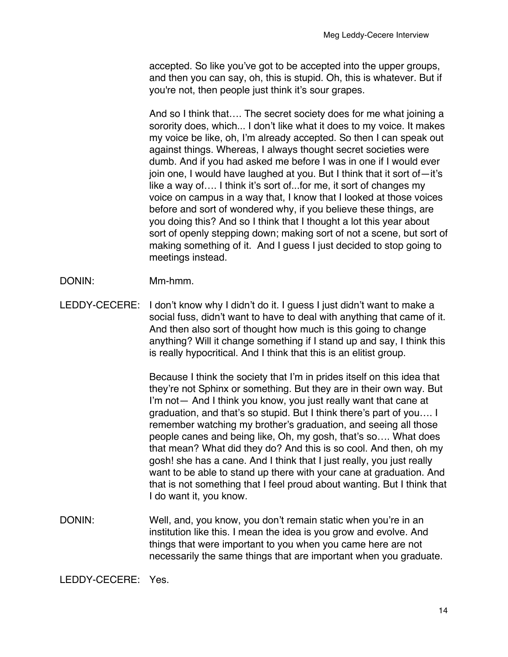accepted. So like you've got to be accepted into the upper groups, and then you can say, oh, this is stupid. Oh, this is whatever. But if you're not, then people just think it's sour grapes.

And so I think that…. The secret society does for me what joining a sorority does, which... I don't like what it does to my voice. It makes my voice be like, oh, I'm already accepted. So then I can speak out against things. Whereas, I always thought secret societies were dumb. And if you had asked me before I was in one if I would ever join one, I would have laughed at you. But I think that it sort of—it's like a way of…. I think it's sort of...for me, it sort of changes my voice on campus in a way that, I know that I looked at those voices before and sort of wondered why, if you believe these things, are you doing this? And so I think that I thought a lot this year about sort of openly stepping down; making sort of not a scene, but sort of making something of it. And I guess I just decided to stop going to meetings instead.

DONIN: Mm-hmm.

LEDDY-CECERE: I don't know why I didn't do it. I guess I just didn't want to make a social fuss, didn't want to have to deal with anything that came of it. And then also sort of thought how much is this going to change anything? Will it change something if I stand up and say, I think this is really hypocritical. And I think that this is an elitist group.

> Because I think the society that I'm in prides itself on this idea that they're not Sphinx or something. But they are in their own way. But I'm not— And I think you know, you just really want that cane at graduation, and that's so stupid. But I think there's part of you…. I remember watching my brother's graduation, and seeing all those people canes and being like, Oh, my gosh, that's so…. What does that mean? What did they do? And this is so cool. And then, oh my gosh! she has a cane. And I think that I just really, you just really want to be able to stand up there with your cane at graduation. And that is not something that I feel proud about wanting. But I think that I do want it, you know.

DONIN: Well, and, you know, you don't remain static when you're in an institution like this. I mean the idea is you grow and evolve. And things that were important to you when you came here are not necessarily the same things that are important when you graduate.

LEDDY-CECERE: Yes.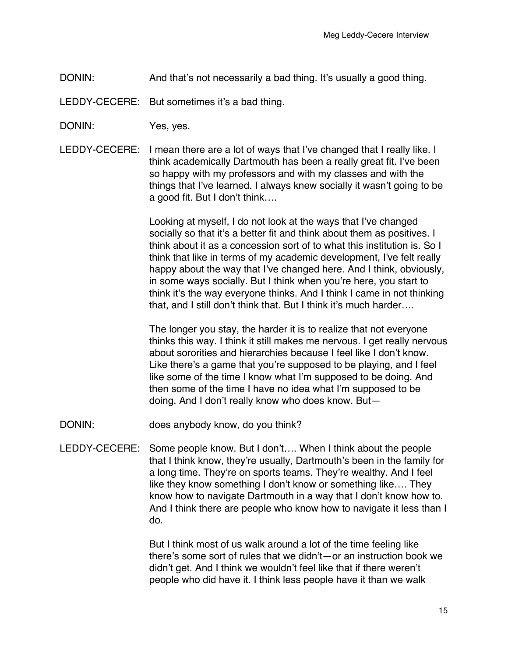DONIN: And that's not necessarily a bad thing. It's usually a good thing.

LEDDY-CECERE: But sometimes it's a bad thing.

- DONIN: Yes, yes.
- LEDDY-CECERE: I mean there are a lot of ways that I've changed that I really like. I think academically Dartmouth has been a really great fit. I've been so happy with my professors and with my classes and with the things that I've learned. I always knew socially it wasn't going to be a good fit. But I don't think….

Looking at myself, I do not look at the ways that I've changed socially so that it's a better fit and think about them as positives. I think about it as a concession sort of to what this institution is. So I think that like in terms of my academic development, I've felt really happy about the way that I've changed here. And I think, obviously, in some ways socially. But I think when you're here, you start to think it's the way everyone thinks. And I think I came in not thinking that, and I still don't think that. But I think it's much harder….

The longer you stay, the harder it is to realize that not everyone thinks this way. I think it still makes me nervous. I get really nervous about sororities and hierarchies because I feel like I don't know. Like there's a game that you're supposed to be playing, and I feel like some of the time I know what I'm supposed to be doing. And then some of the time I have no idea what I'm supposed to be doing. And I don't really know who does know. But—

- DONIN: does anybody know, do you think?
- LEDDY-CECERE: Some people know. But I don't…. When I think about the people that I think know, they're usually, Dartmouth's been in the family for a long time. They're on sports teams. They're wealthy. And I feel like they know something I don't know or something like…. They know how to navigate Dartmouth in a way that I don't know how to. And I think there are people who know how to navigate it less than I do.

But I think most of us walk around a lot of the time feeling like there's some sort of rules that we didn't—or an instruction book we didn't get. And I think we wouldn't feel like that if there weren't people who did have it. I think less people have it than we walk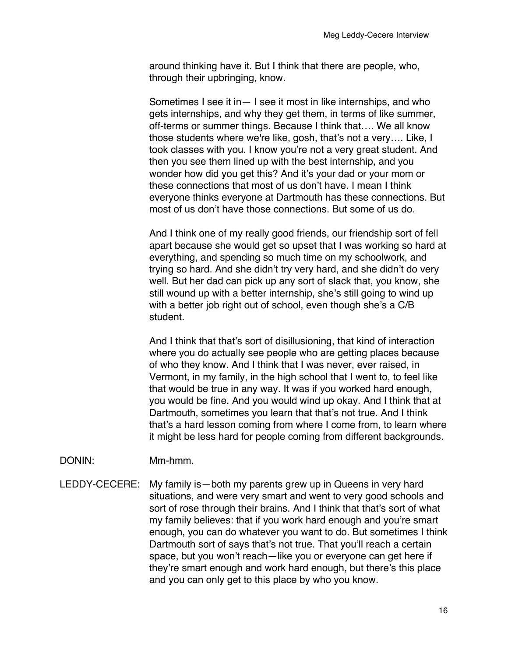around thinking have it. But I think that there are people, who, through their upbringing, know.

Sometimes I see it in— I see it most in like internships, and who gets internships, and why they get them, in terms of like summer, off-terms or summer things. Because I think that…. We all know those students where we're like, gosh, that's not a very…. Like, I took classes with you. I know you're not a very great student. And then you see them lined up with the best internship, and you wonder how did you get this? And it's your dad or your mom or these connections that most of us don't have. I mean I think everyone thinks everyone at Dartmouth has these connections. But most of us don't have those connections. But some of us do.

And I think one of my really good friends, our friendship sort of fell apart because she would get so upset that I was working so hard at everything, and spending so much time on my schoolwork, and trying so hard. And she didn't try very hard, and she didn't do very well. But her dad can pick up any sort of slack that, you know, she still wound up with a better internship, she's still going to wind up with a better job right out of school, even though she's a C/B student.

And I think that that's sort of disillusioning, that kind of interaction where you do actually see people who are getting places because of who they know. And I think that I was never, ever raised, in Vermont, in my family, in the high school that I went to, to feel like that would be true in any way. It was if you worked hard enough, you would be fine. And you would wind up okay. And I think that at Dartmouth, sometimes you learn that that's not true. And I think that's a hard lesson coming from where I come from, to learn where it might be less hard for people coming from different backgrounds.

## DONIN: Mm-hmm.

LEDDY-CECERE: My family is—both my parents grew up in Queens in very hard situations, and were very smart and went to very good schools and sort of rose through their brains. And I think that that's sort of what my family believes: that if you work hard enough and you're smart enough, you can do whatever you want to do. But sometimes I think Dartmouth sort of says that's not true. That you'll reach a certain space, but you won't reach—like you or everyone can get here if they're smart enough and work hard enough, but there's this place and you can only get to this place by who you know.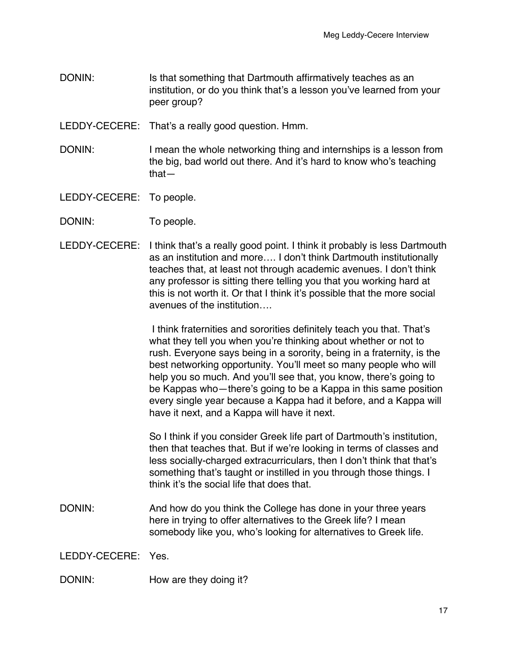DONIN: Is that something that Dartmouth affirmatively teaches as an institution, or do you think that's a lesson you've learned from your peer group?

LEDDY-CECERE: That's a really good question. Hmm.

- DONIN: I mean the whole networking thing and internships is a lesson from the big, bad world out there. And it's hard to know who's teaching that—
- LEDDY-CECERE: To people.
- DONIN: To people.
- LEDDY-CECERE: I think that's a really good point. I think it probably is less Dartmouth as an institution and more…. I don't think Dartmouth institutionally teaches that, at least not through academic avenues. I don't think any professor is sitting there telling you that you working hard at this is not worth it. Or that I think it's possible that the more social avenues of the institution….

I think fraternities and sororities definitely teach you that. That's what they tell you when you're thinking about whether or not to rush. Everyone says being in a sorority, being in a fraternity, is the best networking opportunity. You'll meet so many people who will help you so much. And you'll see that, you know, there's going to be Kappas who—there's going to be a Kappa in this same position every single year because a Kappa had it before, and a Kappa will have it next, and a Kappa will have it next.

So I think if you consider Greek life part of Dartmouth's institution, then that teaches that. But if we're looking in terms of classes and less socially-charged extracurriculars, then I don't think that that's something that's taught or instilled in you through those things. I think it's the social life that does that.

DONIN: And how do you think the College has done in your three years here in trying to offer alternatives to the Greek life? I mean somebody like you, who's looking for alternatives to Greek life.

LEDDY-CECERE: Yes.

DONIN: How are they doing it?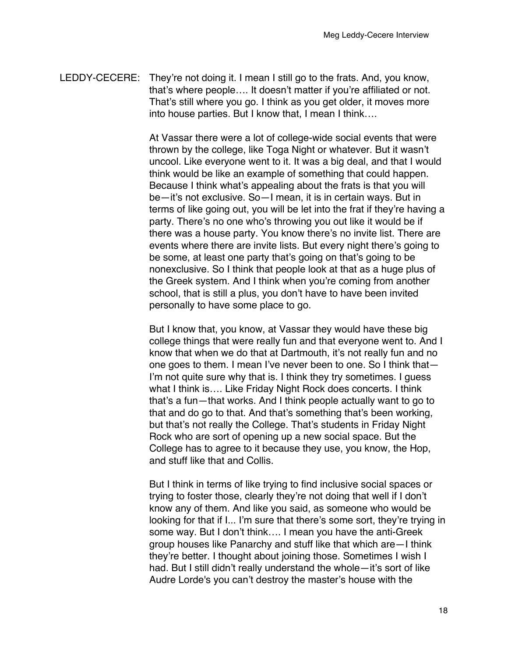LEDDY-CECERE: They're not doing it. I mean I still go to the frats. And, you know, that's where people…. It doesn't matter if you're affiliated or not. That's still where you go. I think as you get older, it moves more into house parties. But I know that, I mean I think….

> At Vassar there were a lot of college-wide social events that were thrown by the college, like Toga Night or whatever. But it wasn't uncool. Like everyone went to it. It was a big deal, and that I would think would be like an example of something that could happen. Because I think what's appealing about the frats is that you will be—it's not exclusive. So—I mean, it is in certain ways. But in terms of like going out, you will be let into the frat if they're having a party. There's no one who's throwing you out like it would be if there was a house party. You know there's no invite list. There are events where there are invite lists. But every night there's going to be some, at least one party that's going on that's going to be nonexclusive. So I think that people look at that as a huge plus of the Greek system. And I think when you're coming from another school, that is still a plus, you don't have to have been invited personally to have some place to go.

> But I know that, you know, at Vassar they would have these big college things that were really fun and that everyone went to. And I know that when we do that at Dartmouth, it's not really fun and no one goes to them. I mean I've never been to one. So I think that— I'm not quite sure why that is. I think they try sometimes. I guess what I think is…. Like Friday Night Rock does concerts. I think that's a fun—that works. And I think people actually want to go to that and do go to that. And that's something that's been working, but that's not really the College. That's students in Friday Night Rock who are sort of opening up a new social space. But the College has to agree to it because they use, you know, the Hop, and stuff like that and Collis.

> But I think in terms of like trying to find inclusive social spaces or trying to foster those, clearly they're not doing that well if I don't know any of them. And like you said, as someone who would be looking for that if I... I'm sure that there's some sort, they're trying in some way. But I don't think…. I mean you have the anti-Greek group houses like Panarchy and stuff like that which are—I think they're better. I thought about joining those. Sometimes I wish I had. But I still didn't really understand the whole—it's sort of like Audre Lorde's you can't destroy the master's house with the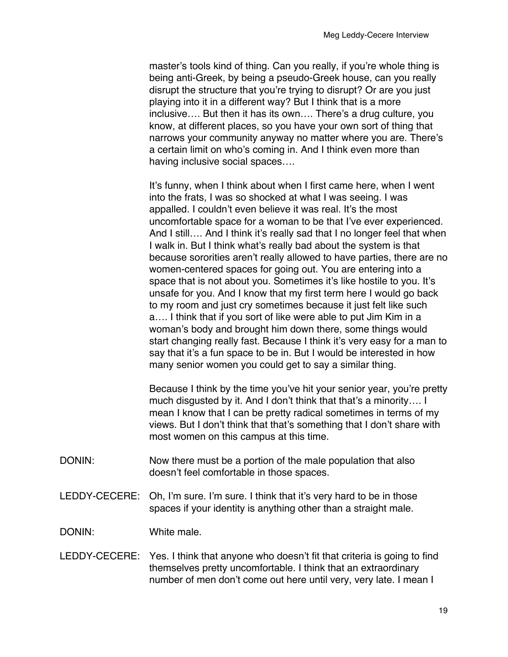master's tools kind of thing. Can you really, if you're whole thing is being anti-Greek, by being a pseudo-Greek house, can you really disrupt the structure that you're trying to disrupt? Or are you just playing into it in a different way? But I think that is a more inclusive…. But then it has its own…. There's a drug culture, you know, at different places, so you have your own sort of thing that narrows your community anyway no matter where you are. There's a certain limit on who's coming in. And I think even more than having inclusive social spaces….

It's funny, when I think about when I first came here, when I went into the frats, I was so shocked at what I was seeing. I was appalled. I couldn't even believe it was real. It's the most uncomfortable space for a woman to be that I've ever experienced. And I still…. And I think it's really sad that I no longer feel that when I walk in. But I think what's really bad about the system is that because sororities aren't really allowed to have parties, there are no women-centered spaces for going out. You are entering into a space that is not about you. Sometimes it's like hostile to you. It's unsafe for you. And I know that my first term here I would go back to my room and just cry sometimes because it just felt like such a…. I think that if you sort of like were able to put Jim Kim in a woman's body and brought him down there, some things would start changing really fast. Because I think it's very easy for a man to say that it's a fun space to be in. But I would be interested in how many senior women you could get to say a similar thing.

Because I think by the time you've hit your senior year, you're pretty much disgusted by it. And I don't think that that's a minority…. I mean I know that I can be pretty radical sometimes in terms of my views. But I don't think that that's something that I don't share with most women on this campus at this time.

- DONIN: Now there must be a portion of the male population that also doesn't feel comfortable in those spaces.
- LEDDY-CECERE: Oh, I'm sure. I'm sure. I think that it's very hard to be in those spaces if your identity is anything other than a straight male.

DONIN: White male.

LEDDY-CECERE: Yes. I think that anyone who doesn't fit that criteria is going to find themselves pretty uncomfortable. I think that an extraordinary number of men don't come out here until very, very late. I mean I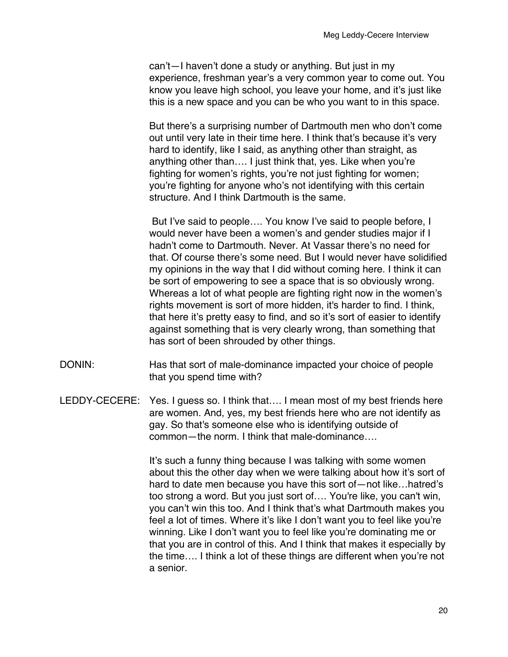can't—I haven't done a study or anything. But just in my experience, freshman year's a very common year to come out. You know you leave high school, you leave your home, and it's just like this is a new space and you can be who you want to in this space.

But there's a surprising number of Dartmouth men who don't come out until very late in their time here. I think that's because it's very hard to identify, like I said, as anything other than straight, as anything other than…. I just think that, yes. Like when you're fighting for women's rights, you're not just fighting for women; you're fighting for anyone who's not identifying with this certain structure. And I think Dartmouth is the same.

But I've said to people…. You know I've said to people before, I would never have been a women's and gender studies major if I hadn't come to Dartmouth. Never. At Vassar there's no need for that. Of course there's some need. But I would never have solidified my opinions in the way that I did without coming here. I think it can be sort of empowering to see a space that is so obviously wrong. Whereas a lot of what people are fighting right now in the women's rights movement is sort of more hidden, it's harder to find. I think, that here it's pretty easy to find, and so it's sort of easier to identify against something that is very clearly wrong, than something that has sort of been shrouded by other things.

- DONIN: Has that sort of male-dominance impacted your choice of people that you spend time with?
- LEDDY-CECERE: Yes. I guess so. I think that…. I mean most of my best friends here are women. And, yes, my best friends here who are not identify as gay. So that's someone else who is identifying outside of common—the norm. I think that male-dominance….

It's such a funny thing because I was talking with some women about this the other day when we were talking about how it's sort of hard to date men because you have this sort of—not like…hatred's too strong a word. But you just sort of…. You're like, you can't win, you can't win this too. And I think that's what Dartmouth makes you feel a lot of times. Where it's like I don't want you to feel like you're winning. Like I don't want you to feel like you're dominating me or that you are in control of this. And I think that makes it especially by the time…. I think a lot of these things are different when you're not a senior.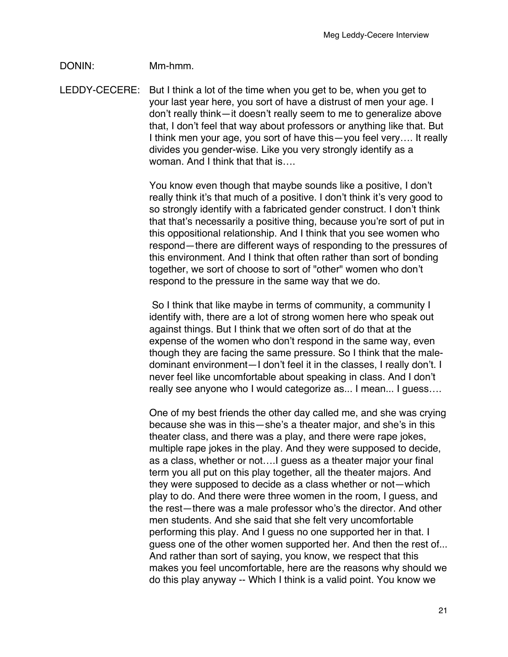## DONIN: Mm-hmm.

LEDDY-CECERE: But I think a lot of the time when you get to be, when you get to your last year here, you sort of have a distrust of men your age. I don't really think—it doesn't really seem to me to generalize above that, I don't feel that way about professors or anything like that. But I think men your age, you sort of have this—you feel very…. It really divides you gender-wise. Like you very strongly identify as a woman. And I think that that is....

> You know even though that maybe sounds like a positive, I don't really think it's that much of a positive. I don't think it's very good to so strongly identify with a fabricated gender construct. I don't think that that's necessarily a positive thing, because you're sort of put in this oppositional relationship. And I think that you see women who respond—there are different ways of responding to the pressures of this environment. And I think that often rather than sort of bonding together, we sort of choose to sort of "other" women who don't respond to the pressure in the same way that we do.

So I think that like maybe in terms of community, a community I identify with, there are a lot of strong women here who speak out against things. But I think that we often sort of do that at the expense of the women who don't respond in the same way, even though they are facing the same pressure. So I think that the maledominant environment—I don't feel it in the classes, I really don't. I never feel like uncomfortable about speaking in class. And I don't really see anyone who I would categorize as... I mean... I guess….

One of my best friends the other day called me, and she was crying because she was in this—she's a theater major, and she's in this theater class, and there was a play, and there were rape jokes, multiple rape jokes in the play. And they were supposed to decide, as a class, whether or not….I guess as a theater major your final term you all put on this play together, all the theater majors. And they were supposed to decide as a class whether or not—which play to do. And there were three women in the room, I guess, and the rest—there was a male professor who's the director. And other men students. And she said that she felt very uncomfortable performing this play. And I guess no one supported her in that. I guess one of the other women supported her. And then the rest of... And rather than sort of saying, you know, we respect that this makes you feel uncomfortable, here are the reasons why should we do this play anyway -- Which I think is a valid point. You know we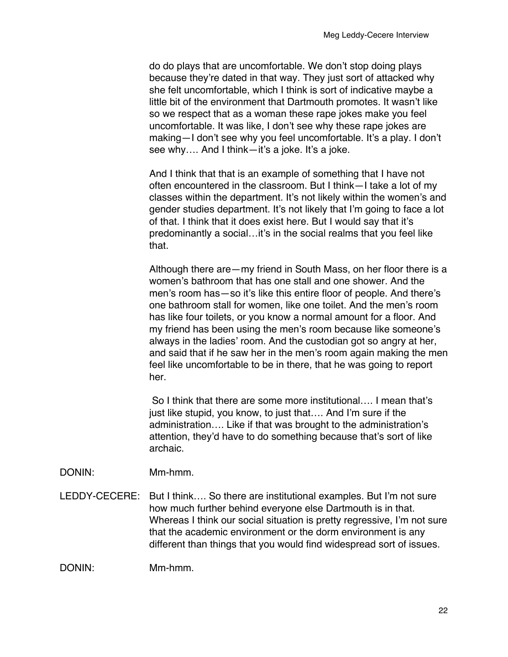do do plays that are uncomfortable. We don't stop doing plays because they're dated in that way. They just sort of attacked why she felt uncomfortable, which I think is sort of indicative maybe a little bit of the environment that Dartmouth promotes. It wasn't like so we respect that as a woman these rape jokes make you feel uncomfortable. It was like, I don't see why these rape jokes are making—I don't see why you feel uncomfortable. It's a play. I don't see why.... And I think—it's a joke. It's a joke.

And I think that that is an example of something that I have not often encountered in the classroom. But I think—I take a lot of my classes within the department. It's not likely within the women's and gender studies department. It's not likely that I'm going to face a lot of that. I think that it does exist here. But I would say that it's predominantly a social…it's in the social realms that you feel like that.

Although there are—my friend in South Mass, on her floor there is a women's bathroom that has one stall and one shower. And the men's room has—so it's like this entire floor of people. And there's one bathroom stall for women, like one toilet. And the men's room has like four toilets, or you know a normal amount for a floor. And my friend has been using the men's room because like someone's always in the ladies' room. And the custodian got so angry at her, and said that if he saw her in the men's room again making the men feel like uncomfortable to be in there, that he was going to report her.

So I think that there are some more institutional…. I mean that's just like stupid, you know, to just that…. And I'm sure if the administration…. Like if that was brought to the administration's attention, they'd have to do something because that's sort of like archaic.

- DONIN: Mm-hmm.
- LEDDY-CECERE: But I think…. So there are institutional examples. But I'm not sure how much further behind everyone else Dartmouth is in that. Whereas I think our social situation is pretty regressive, I'm not sure that the academic environment or the dorm environment is any different than things that you would find widespread sort of issues.

DONIN: Mm-hmm.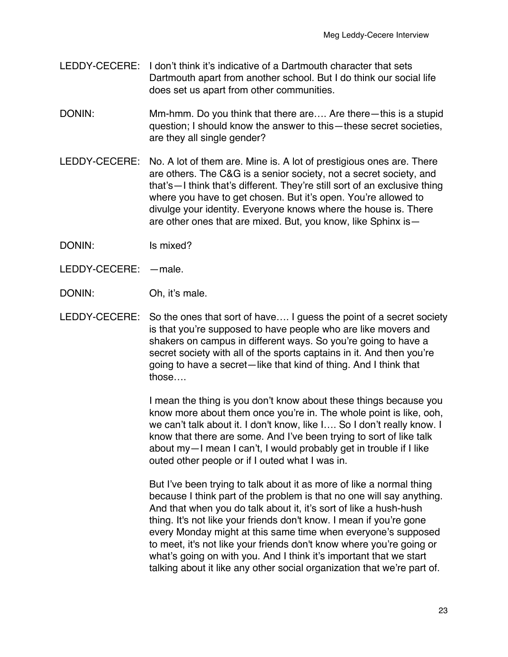- LEDDY-CECERE: I don't think it's indicative of a Dartmouth character that sets Dartmouth apart from another school. But I do think our social life does set us apart from other communities.
- DONIN: Mm-hmm. Do you think that there are.... Are there—this is a stupid question; I should know the answer to this—these secret societies, are they all single gender?
- LEDDY-CECERE: No. A lot of them are. Mine is. A lot of prestigious ones are. There are others. The C&G is a senior society, not a secret society, and that's—I think that's different. They're still sort of an exclusive thing where you have to get chosen. But it's open. You're allowed to divulge your identity. Everyone knows where the house is. There are other ones that are mixed. But, you know, like Sphinx is—
- DONIN: Is mixed?
- LEDDY-CECERE: —male.
- DONIN: Oh, it's male.
- LEDDY-CECERE: So the ones that sort of have…. I guess the point of a secret society is that you're supposed to have people who are like movers and shakers on campus in different ways. So you're going to have a secret society with all of the sports captains in it. And then you're going to have a secret—like that kind of thing. And I think that those….

I mean the thing is you don't know about these things because you know more about them once you're in. The whole point is like, ooh, we can't talk about it. I don't know, like I…. So I don't really know. I know that there are some. And I've been trying to sort of like talk about my—I mean I can't, I would probably get in trouble if I like outed other people or if I outed what I was in.

But I've been trying to talk about it as more of like a normal thing because I think part of the problem is that no one will say anything. And that when you do talk about it, it's sort of like a hush-hush thing. It's not like your friends don't know. I mean if you're gone every Monday might at this same time when everyone's supposed to meet, it's not like your friends don't know where you're going or what's going on with you. And I think it's important that we start talking about it like any other social organization that we're part of.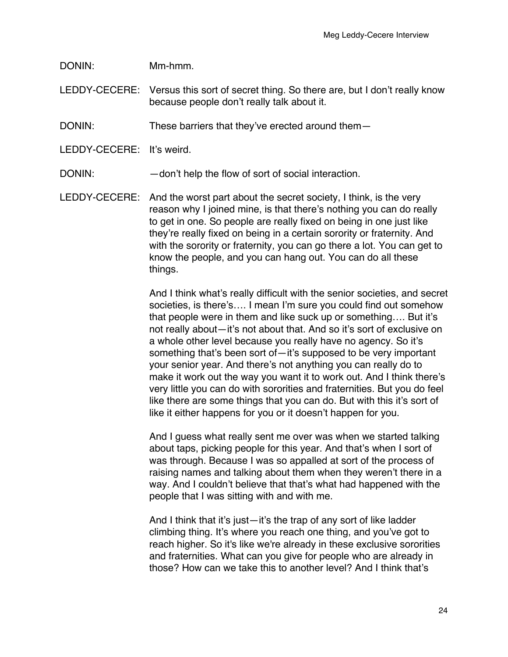DONIN: Mm-hmm.

LEDDY-CECERE: Versus this sort of secret thing. So there are, but I don't really know because people don't really talk about it.

DONIN: These barriers that they've erected around them-

LEDDY-CECERE: It's weird.

DONIN:  $-$  don't help the flow of sort of social interaction.

LEDDY-CECERE: And the worst part about the secret society, I think, is the very reason why I joined mine, is that there's nothing you can do really to get in one. So people are really fixed on being in one just like they're really fixed on being in a certain sorority or fraternity. And with the sorority or fraternity, you can go there a lot. You can get to know the people, and you can hang out. You can do all these things.

> And I think what's really difficult with the senior societies, and secret societies, is there's…. I mean I'm sure you could find out somehow that people were in them and like suck up or something…. But it's not really about—it's not about that. And so it's sort of exclusive on a whole other level because you really have no agency. So it's something that's been sort of—it's supposed to be very important your senior year. And there's not anything you can really do to make it work out the way you want it to work out. And I think there's very little you can do with sororities and fraternities. But you do feel like there are some things that you can do. But with this it's sort of like it either happens for you or it doesn't happen for you.

And I guess what really sent me over was when we started talking about taps, picking people for this year. And that's when I sort of was through. Because I was so appalled at sort of the process of raising names and talking about them when they weren't there in a way. And I couldn't believe that that's what had happened with the people that I was sitting with and with me.

And I think that it's just—it's the trap of any sort of like ladder climbing thing. It's where you reach one thing, and you've got to reach higher. So it's like we're already in these exclusive sororities and fraternities. What can you give for people who are already in those? How can we take this to another level? And I think that's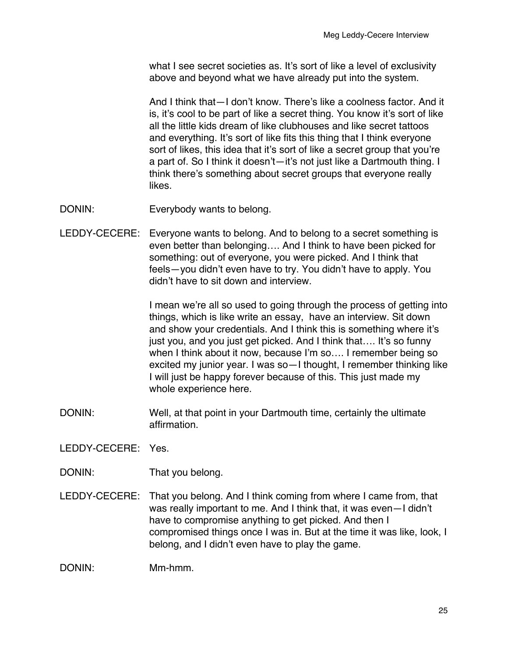what I see secret societies as. It's sort of like a level of exclusivity above and beyond what we have already put into the system.

And I think that—I don't know. There's like a coolness factor. And it is, it's cool to be part of like a secret thing. You know it's sort of like all the little kids dream of like clubhouses and like secret tattoos and everything. It's sort of like fits this thing that I think everyone sort of likes, this idea that it's sort of like a secret group that you're a part of. So I think it doesn't—it's not just like a Dartmouth thing. I think there's something about secret groups that everyone really likes.

- DONIN: Everybody wants to belong.
- LEDDY-CECERE: Everyone wants to belong. And to belong to a secret something is even better than belonging…. And I think to have been picked for something: out of everyone, you were picked. And I think that feels—you didn't even have to try. You didn't have to apply. You didn't have to sit down and interview.

I mean we're all so used to going through the process of getting into things, which is like write an essay, have an interview. Sit down and show your credentials. And I think this is something where it's just you, and you just get picked. And I think that…. It's so funny when I think about it now, because I'm so…. I remember being so excited my junior year. I was so—I thought, I remember thinking like I will just be happy forever because of this. This just made my whole experience here.

DONIN: Well, at that point in your Dartmouth time, certainly the ultimate affirmation.

LEDDY-CECERE: Yes.

- DONIN: That you belong.
- LEDDY-CECERE: That you belong. And I think coming from where I came from, that was really important to me. And I think that, it was even—I didn't have to compromise anything to get picked. And then I compromised things once I was in. But at the time it was like, look, I belong, and I didn't even have to play the game.

DONIN: Mm-hmm.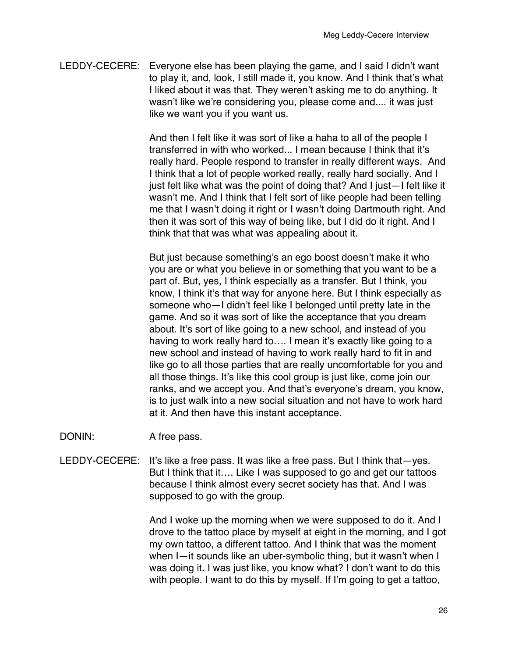LEDDY-CECERE: Everyone else has been playing the game, and I said I didn't want to play it, and, look, I still made it, you know. And I think that's what I liked about it was that. They weren't asking me to do anything. It wasn't like we're considering you, please come and.... it was just like we want you if you want us.

> And then I felt like it was sort of like a haha to all of the people I transferred in with who worked... I mean because I think that it's really hard. People respond to transfer in really different ways. And I think that a lot of people worked really, really hard socially. And I just felt like what was the point of doing that? And I just—I felt like it wasn't me. And I think that I felt sort of like people had been telling me that I wasn't doing it right or I wasn't doing Dartmouth right. And then it was sort of this way of being like, but I did do it right. And I think that that was what was appealing about it.

> But just because something's an ego boost doesn't make it who you are or what you believe in or something that you want to be a part of. But, yes, I think especially as a transfer. But I think, you know, I think it's that way for anyone here. But I think especially as someone who—I didn't feel like I belonged until pretty late in the game. And so it was sort of like the acceptance that you dream about. It's sort of like going to a new school, and instead of you having to work really hard to.... I mean it's exactly like going to a new school and instead of having to work really hard to fit in and like go to all those parties that are really uncomfortable for you and all those things. It's like this cool group is just like, come join our ranks, and we accept you. And that's everyone's dream, you know, is to just walk into a new social situation and not have to work hard at it. And then have this instant acceptance.

- DONIN: A free pass.
- LEDDY-CECERE: It's like a free pass. It was like a free pass. But I think that—yes. But I think that it…. Like I was supposed to go and get our tattoos because I think almost every secret society has that. And I was supposed to go with the group.

And I woke up the morning when we were supposed to do it. And I drove to the tattoo place by myself at eight in the morning, and I got my own tattoo, a different tattoo. And I think that was the moment when I—it sounds like an uber-symbolic thing, but it wasn't when I was doing it. I was just like, you know what? I don't want to do this with people. I want to do this by myself. If I'm going to get a tattoo,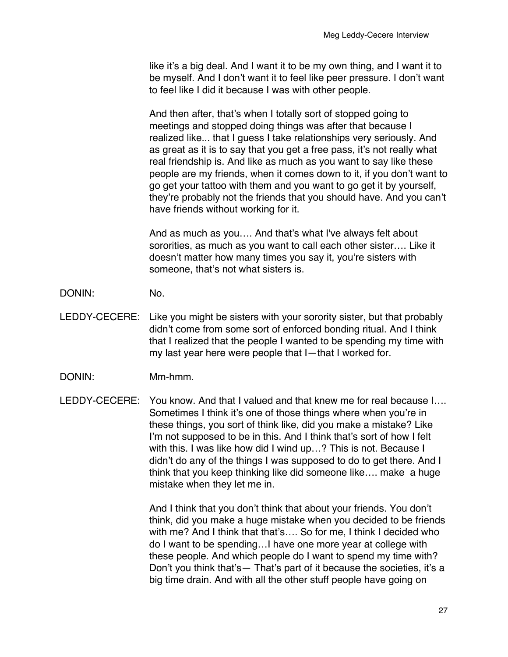like it's a big deal. And I want it to be my own thing, and I want it to be myself. And I don't want it to feel like peer pressure. I don't want to feel like I did it because I was with other people.

And then after, that's when I totally sort of stopped going to meetings and stopped doing things was after that because I realized like... that I guess I take relationships very seriously. And as great as it is to say that you get a free pass, it's not really what real friendship is. And like as much as you want to say like these people are my friends, when it comes down to it, if you don't want to go get your tattoo with them and you want to go get it by yourself, they're probably not the friends that you should have. And you can't have friends without working for it.

And as much as you…. And that's what I've always felt about sororities, as much as you want to call each other sister…. Like it doesn't matter how many times you say it, you're sisters with someone, that's not what sisters is.

- DONIN: No.
- LEDDY-CECERE: Like you might be sisters with your sorority sister, but that probably didn't come from some sort of enforced bonding ritual. And I think that I realized that the people I wanted to be spending my time with my last year here were people that I—that I worked for.
- DONIN: Mm-hmm.
- LEDDY-CECERE: You know. And that I valued and that knew me for real because I…. Sometimes I think it's one of those things where when you're in these things, you sort of think like, did you make a mistake? Like I'm not supposed to be in this. And I think that's sort of how I felt with this. I was like how did I wind up…? This is not. Because I didn't do any of the things I was supposed to do to get there. And I think that you keep thinking like did someone like…. make a huge mistake when they let me in.

And I think that you don't think that about your friends. You don't think, did you make a huge mistake when you decided to be friends with me? And I think that that's…. So for me, I think I decided who do I want to be spending…I have one more year at college with these people. And which people do I want to spend my time with? Don't you think that's— That's part of it because the societies, it's a big time drain. And with all the other stuff people have going on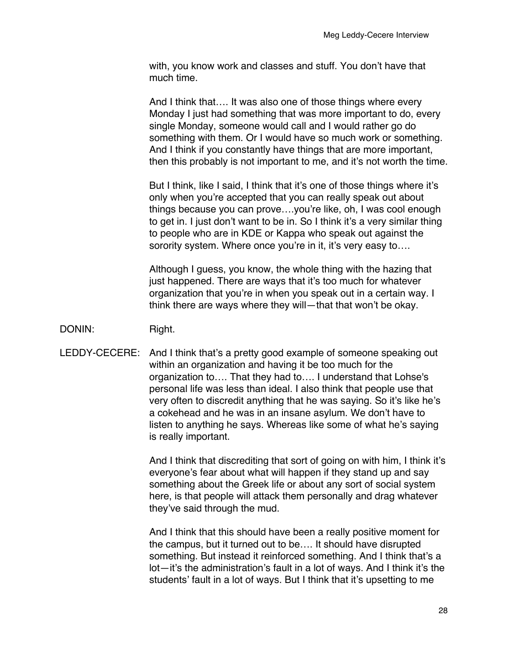with, you know work and classes and stuff. You don't have that much time.

And I think that…. It was also one of those things where every Monday I just had something that was more important to do, every single Monday, someone would call and I would rather go do something with them. Or I would have so much work or something. And I think if you constantly have things that are more important, then this probably is not important to me, and it's not worth the time.

But I think, like I said, I think that it's one of those things where it's only when you're accepted that you can really speak out about things because you can prove….you're like, oh, I was cool enough to get in. I just don't want to be in. So I think it's a very similar thing to people who are in KDE or Kappa who speak out against the sorority system. Where once you're in it, it's very easy to....

Although I guess, you know, the whole thing with the hazing that just happened. There are ways that it's too much for whatever organization that you're in when you speak out in a certain way. I think there are ways where they will—that that won't be okay.

## DONIN: Right.

LEDDY-CECERE: And I think that's a pretty good example of someone speaking out within an organization and having it be too much for the organization to…. That they had to…. I understand that Lohse's personal life was less than ideal. I also think that people use that very often to discredit anything that he was saying. So it's like he's a cokehead and he was in an insane asylum. We don't have to listen to anything he says. Whereas like some of what he's saying is really important.

> And I think that discrediting that sort of going on with him, I think it's everyone's fear about what will happen if they stand up and say something about the Greek life or about any sort of social system here, is that people will attack them personally and drag whatever they've said through the mud.

> And I think that this should have been a really positive moment for the campus, but it turned out to be…. It should have disrupted something. But instead it reinforced something. And I think that's a lot—it's the administration's fault in a lot of ways. And I think it's the students' fault in a lot of ways. But I think that it's upsetting to me